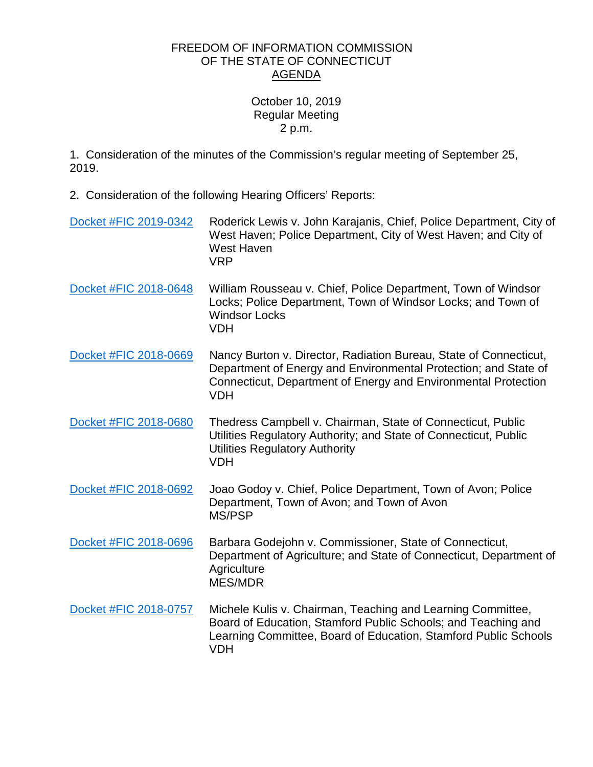## FREEDOM OF INFORMATION COMMISSION OF THE STATE OF CONNECTICUT AGENDA

## October 10, 2019 Regular Meeting 2 p.m.

1. Consideration of the minutes of the Commission's regular meeting of September 25, 2019.

2. Consideration of the following Hearing Officers' Reports:

| Docket #FIC 2019-0342 | Roderick Lewis v. John Karajanis, Chief, Police Department, City of<br>West Haven; Police Department, City of West Haven; and City of<br><b>West Haven</b><br><b>VRP</b>                                             |
|-----------------------|----------------------------------------------------------------------------------------------------------------------------------------------------------------------------------------------------------------------|
| Docket #FIC 2018-0648 | William Rousseau v. Chief, Police Department, Town of Windsor<br>Locks; Police Department, Town of Windsor Locks; and Town of<br><b>Windsor Locks</b><br><b>VDH</b>                                                  |
| Docket #FIC 2018-0669 | Nancy Burton v. Director, Radiation Bureau, State of Connecticut,<br>Department of Energy and Environmental Protection; and State of<br>Connecticut, Department of Energy and Environmental Protection<br><b>VDH</b> |
| Docket #FIC 2018-0680 | Thedress Campbell v. Chairman, State of Connecticut, Public<br>Utilities Regulatory Authority; and State of Connecticut, Public<br><b>Utilities Regulatory Authority</b><br><b>VDH</b>                               |
| Docket #FIC 2018-0692 | Joao Godoy v. Chief, Police Department, Town of Avon; Police<br>Department, Town of Avon; and Town of Avon<br>MS/PSP                                                                                                 |
| Docket #FIC 2018-0696 | Barbara Godejohn v. Commissioner, State of Connecticut,<br>Department of Agriculture; and State of Connecticut, Department of<br>Agriculture<br><b>MES/MDR</b>                                                       |
| Docket #FIC 2018-0757 | Michele Kulis v. Chairman, Teaching and Learning Committee,<br>Board of Education, Stamford Public Schools; and Teaching and<br>Learning Committee, Board of Education, Stamford Public Schools<br><b>VDH</b>        |